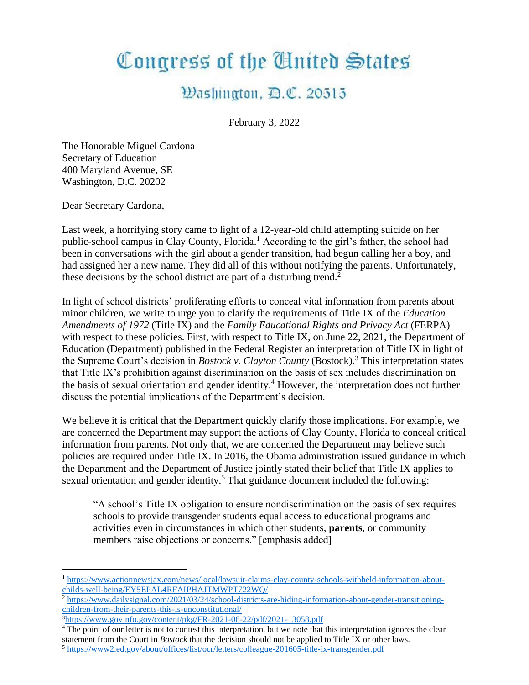## Congress of the United States

## Washington, D.C. 20515

February 3, 2022

The Honorable Miguel Cardona Secretary of Education 400 Maryland Avenue, SE Washington, D.C. 20202

Dear Secretary Cardona,

Last week, a horrifying story came to light of a 12-year-old child attempting suicide on her public-school campus in Clay County, Florida.<sup>1</sup> According to the girl's father, the school had been in conversations with the girl about a gender transition, had begun calling her a boy, and had assigned her a new name. They did all of this without notifying the parents. Unfortunately, these decisions by the school district are part of a disturbing trend.<sup>2</sup>

In light of school districts' proliferating efforts to conceal vital information from parents about minor children, we write to urge you to clarify the requirements of Title IX of the *Education Amendments of 1972* (Title IX) and the *Family Educational Rights and Privacy Act* (FERPA) with respect to these policies. First, with respect to Title IX, on June 22, 2021, the Department of Education (Department) published in the Federal Register an interpretation of Title IX in light of the Supreme Court's decision in *Bostock v. Clayton County* (Bostock).<sup>3</sup> This interpretation states that Title IX's prohibition against discrimination on the basis of sex includes discrimination on the basis of sexual orientation and gender identity.<sup>4</sup> However, the interpretation does not further discuss the potential implications of the Department's decision.

We believe it is critical that the Department quickly clarify those implications. For example, we are concerned the Department may support the actions of Clay County, Florida to conceal critical information from parents. Not only that, we are concerned the Department may believe such policies are required under Title IX. In 2016, the Obama administration issued guidance in which the Department and the Department of Justice jointly stated their belief that Title IX applies to sexual orientation and gender identity.<sup>5</sup> That guidance document included the following:

"A school's Title IX obligation to ensure nondiscrimination on the basis of sex requires schools to provide transgender students equal access to educational programs and activities even in circumstances in which other students, **parents**, or community members raise objections or concerns." [emphasis added]

<sup>5</sup> <https://www2.ed.gov/about/offices/list/ocr/letters/colleague-201605-title-ix-transgender.pdf>

<sup>1</sup> [https://www.actionnewsjax.com/news/local/lawsuit-claims-clay-county-schools-withheld-information-about](https://www.actionnewsjax.com/news/local/lawsuit-claims-clay-county-schools-withheld-information-about-childs-well-being/EY5EPAL4RFAIPHAJTMWPT722WQ/)[childs-well-being/EY5EPAL4RFAIPHAJTMWPT722WQ/](https://www.actionnewsjax.com/news/local/lawsuit-claims-clay-county-schools-withheld-information-about-childs-well-being/EY5EPAL4RFAIPHAJTMWPT722WQ/)

<sup>&</sup>lt;sup>2</sup> [https://www.dailysignal.com/2021/03/24/school-districts-are-hiding-information-about-gender-transitioning](https://www.dailysignal.com/2021/03/24/school-districts-are-hiding-information-about-gender-transitioning-children-from-their-parents-this-is-unconstitutional/)[children-from-their-parents-this-is-unconstitutional/](https://www.dailysignal.com/2021/03/24/school-districts-are-hiding-information-about-gender-transitioning-children-from-their-parents-this-is-unconstitutional/)

 $3$ <https://www.govinfo.gov/content/pkg/FR-2021-06-22/pdf/2021-13058.pdf>

<sup>&</sup>lt;sup>4</sup> The point of our letter is not to contest this interpretation, but we note that this interpretation ignores the clear statement from the Court in *Bostock* that the decision should not be applied to Title IX or other laws.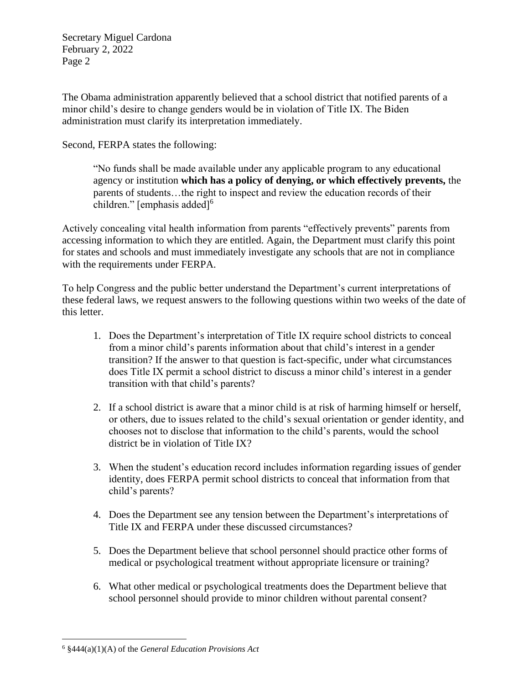Secretary Miguel Cardona February 2, 2022 Page 2

The Obama administration apparently believed that a school district that notified parents of a minor child's desire to change genders would be in violation of Title IX. The Biden administration must clarify its interpretation immediately.

Second, FERPA states the following:

"No funds shall be made available under any applicable program to any educational agency or institution **which has a policy of denying, or which effectively prevents,** the parents of students…the right to inspect and review the education records of their children." [emphasis added]<sup>6</sup>

Actively concealing vital health information from parents "effectively prevents" parents from accessing information to which they are entitled. Again, the Department must clarify this point for states and schools and must immediately investigate any schools that are not in compliance with the requirements under FERPA.

To help Congress and the public better understand the Department's current interpretations of these federal laws, we request answers to the following questions within two weeks of the date of this letter.

- 1. Does the Department's interpretation of Title IX require school districts to conceal from a minor child's parents information about that child's interest in a gender transition? If the answer to that question is fact-specific, under what circumstances does Title IX permit a school district to discuss a minor child's interest in a gender transition with that child's parents?
- 2. If a school district is aware that a minor child is at risk of harming himself or herself, or others, due to issues related to the child's sexual orientation or gender identity, and chooses not to disclose that information to the child's parents, would the school district be in violation of Title IX?
- 3. When the student's education record includes information regarding issues of gender identity, does FERPA permit school districts to conceal that information from that child's parents?
- 4. Does the Department see any tension between the Department's interpretations of Title IX and FERPA under these discussed circumstances?
- 5. Does the Department believe that school personnel should practice other forms of medical or psychological treatment without appropriate licensure or training?
- 6. What other medical or psychological treatments does the Department believe that school personnel should provide to minor children without parental consent?

<sup>6</sup> §444(a)(1)(A) of the *General Education Provisions Act*